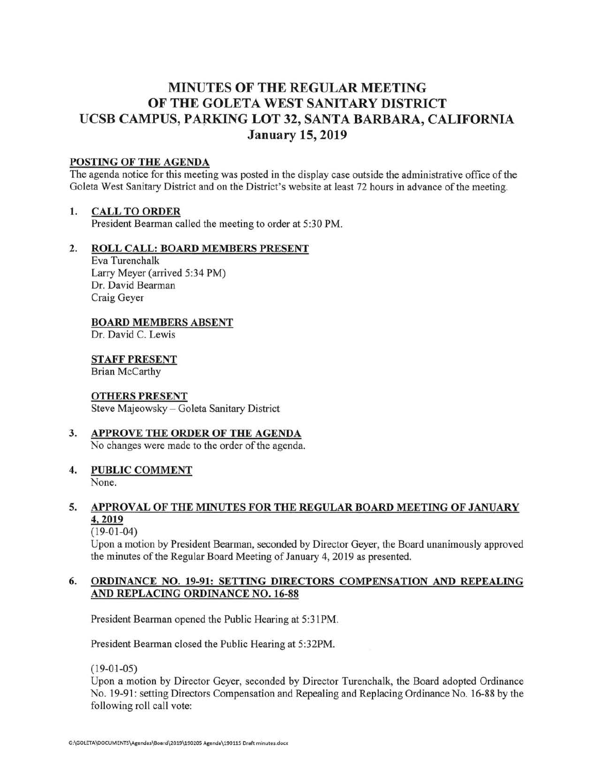# **MINUTES OF THE REGULAR MEETING OF THE GOLETA WEST SANITARY DISTRICT UCSB CAMPUS, PARKING LOT 32, SANTA BARBARA, CALIFORNIA January 15, 2019**

#### **POSTING OF THE AGENDA**

The agenda notice for this meeting was posted in the display case outside the administrative office of the Goleta West Sanitary District and on the District's website at least 72 hours in advance of the meeting.

#### **1. CALL TO ORDER**

President Bearman called the meeting to order at 5:30 PM.

#### **2. ROLL CALL: BOARD MEMBERS PRESENT**

Eva Turenchalk Larry Meyer (arrived 5:34 PM) Dr. David Bearman Craig Geyer

#### **BOARD MEMBERS ABSENT**

Dr. David C. Lewis

# **STAFF PRESENT**

Brian McCarthy

#### **OTHERS PRESENT**

Steve Majeowsky - Goleta Sanitary District

# **3. APPROVE THE ORDER OF THE AGENDA**

No changes were made to the order of the agenda.

## **4. PUBLIC COMMENT**

None.

#### **5. APPROVAL OF THE MINUTES FOR THE REGULAR BOARD MEETING OF JANUARY 4,2019**

#### $(19-01-04)$

Upon a motion by President Bearman, seconded by Director Geyer, the Board unanimously approved the minutes of the Regular Board Meeting of January 4, 2019 as presented.

#### **6. ORDINANCE NO. 19-91: SETTING DIRECTORS COMPENSATION AND REPEALING AND REPLACING ORDINANCE NO. 16-88**

President Bearman opened the Public Hearing at 5:31PM.

President Bearman closed the Public Hearing at 5:32PM.

 $(19-01-05)$ 

Upon a motion by Director Geyer, seconded by Director Turenchalk, the Board adopted Ordinance No. 19-91: setting Directors Compensation and Repealing and Replacing Ordinance No. 16-88 by the following roll call vote: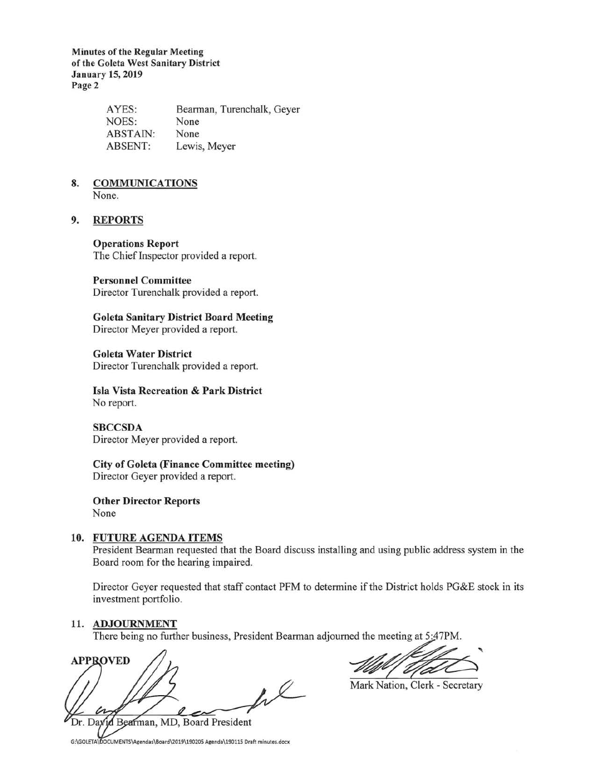**Minutes of the Regular Meeting of the Goleta West Sanitary District January 15, 2019 Page 2** 

| AYES:           | Bearman, Turenchalk, Geyer |
|-----------------|----------------------------|
| NOES:           | None                       |
| <b>ABSTAIN:</b> | None                       |
| ABSENT:         | Lewis, Meyer               |

# **8. COMMUNICATIONS**

None.

#### **9. REPORTS**

#### **Operations Report**

The Chief Inspector provided a report.

#### **Personnel Committee**

Director Turenchalk provided a report.

**Goleta Sanitary District Board Meeting**  Director Meyer provided a report.

**Goleta Water District**  Director Turenchalk provided a report.

#### **Isla Vista Recreation** & **Park District**  No report.

**SBCCSDA**  Director Meyer provided a report.

**City of Goleta (Finance Committee meeting)**  Director Geyer provided a report.

**Other Director Reports**  None

#### **10. FUTURE AGENDA ITEMS**

President Bearman requested that the Board discuss installing and using public address system in the Board room for the hearing impaired.

Director Geyer requested that staff contact PFM to determine if the District holds PG&E stock in its investment portfolio. Director Geyer requested that staff contact PFM to determine if the District holds PG&E stock in its<br>investment portfolio.<br>11. **ADJOURNMENT**<br>There being no further business, President Bearman adjourned the meeting at 5:47P

#### **11. ADJOURNMENT**

There being no further business, President Bearman adjourned the meeting at 5:47PM.

Bearman, MD, Board President Dr. Dax

Mark Nation, Clerk - Secretary

G:\GOLETA\DOCUMENTS\Agendas\Board\2019\190205 Agenda\190115 Draft minutes.docx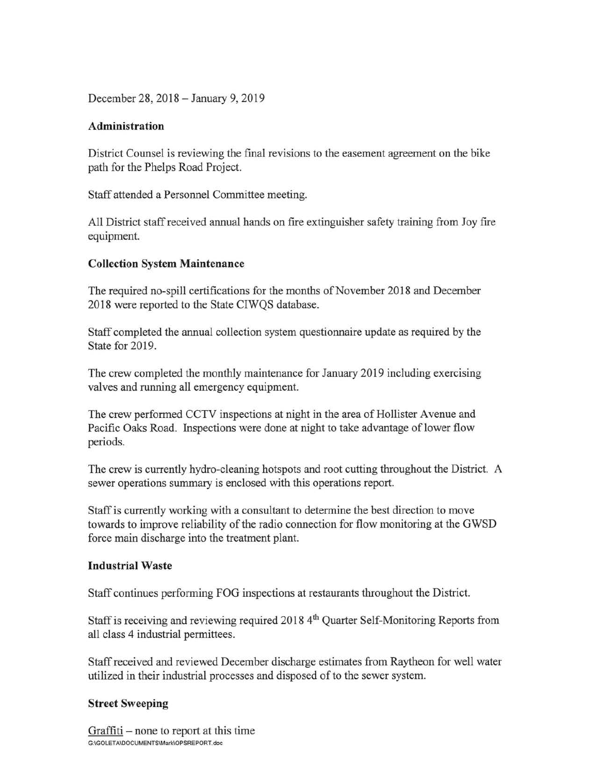December 28, 2018 - January 9, 2019

## **Administration**

District Counsel is reviewing the final revisions to the easement agreement on the bike path for the Phelps Road Project.

Staff attended a Personnel Committee meeting.

All District staff received annual hands on fire extinguisher safety training from Joy fire equipment.

## **Collection System Maintenance**

The required no-spill certifications for the months of November 2018 and December 2018 were reported to the State CIWQS database.

Staff completed the annual collection system questionnaire update as required by the State for 2019.

The crew completed the monthly maintenance for January 2019 including exercising valves and running all emergency equipment.

The crew performed CCTV inspections at night in the area of Hollister A venue and Pacific Oaks Road. Inspections were done at night to take advantage of lower flow periods.

The crew is currently hydro-cleaning hotspots and root cutting throughout the District. A sewer operations summary is enclosed with this operations report.

Staff is currently working with a consultant to determine the best direction to move towards to improve reliability of the radio connection for flow monitoring at the GWSD force main discharge into the treatment plant.

## **Industrial Waste**

Staff continues performing FOG inspections at restaurants throughout the District.

Staff is receiving and reviewing required 2018 4<sup>th</sup> Quarter Self-Monitoring Reports from all class 4 industrial permittees.

Staff received and reviewed December discharge estimates from Raytheon for well water utilized in their industrial processes and disposed of to the sewer system.

## **Street Sweeping**

Graffiti  $-$  none to report at this time G:\GOLETAIDOCUMENTS\Mark\OPSREPORT.doc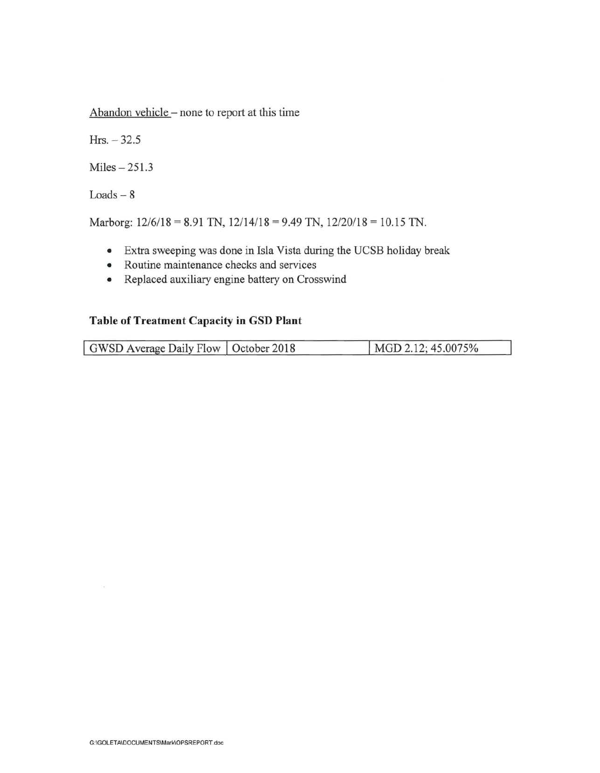Abandon vehicle - none to report at this time

 $Hrs. -32.5$ 

 $Miles - 251.3$ 

 $Loads - 8$ 

Marborg:  $12/6/18 = 8.91$  TN,  $12/14/18 = 9.49$  TN,  $12/20/18 = 10.15$  TN.

- Extra sweeping was done in Isla Vista during the UCSB holiday break
- Routine maintenance checks and services
- Replaced auxiliary engine battery on Crosswind

# **Table of Treatment Capacity in GSD Plant**

| GWSD Average Daily Flow   October 2018 | MGD 2.12; 45.0075% |
|----------------------------------------|--------------------|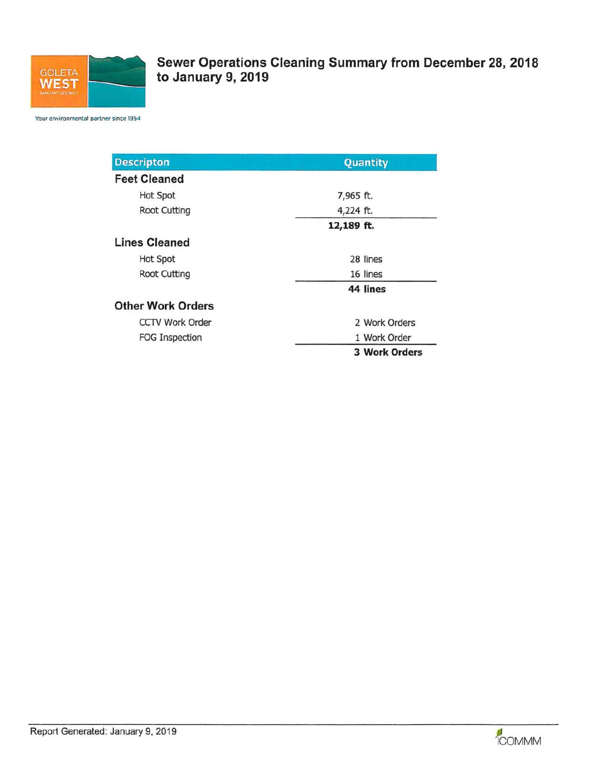

**Sewer Operations Cleaning Summary from December 28, 2018 to January 9, 2019** 

Your environmental partner since 1954

| <b>Descripton</b>        | Quantity             |  |
|--------------------------|----------------------|--|
| <b>Feet Cleaned</b>      |                      |  |
| <b>Hot Spot</b>          | 7,965 ft.            |  |
| <b>Root Cutting</b>      | 4,224 ft.            |  |
|                          | 12,189 ft.           |  |
| <b>Lines Cleaned</b>     |                      |  |
| <b>Hot Spot</b>          | 28 lines             |  |
| <b>Root Cutting</b>      | 16 lines             |  |
|                          | 44 lines             |  |
| <b>Other Work Orders</b> |                      |  |
| <b>CCTV Work Order</b>   | 2 Work Orders        |  |
| <b>FOG Inspection</b>    | 1 Work Order         |  |
|                          | <b>3 Work Orders</b> |  |